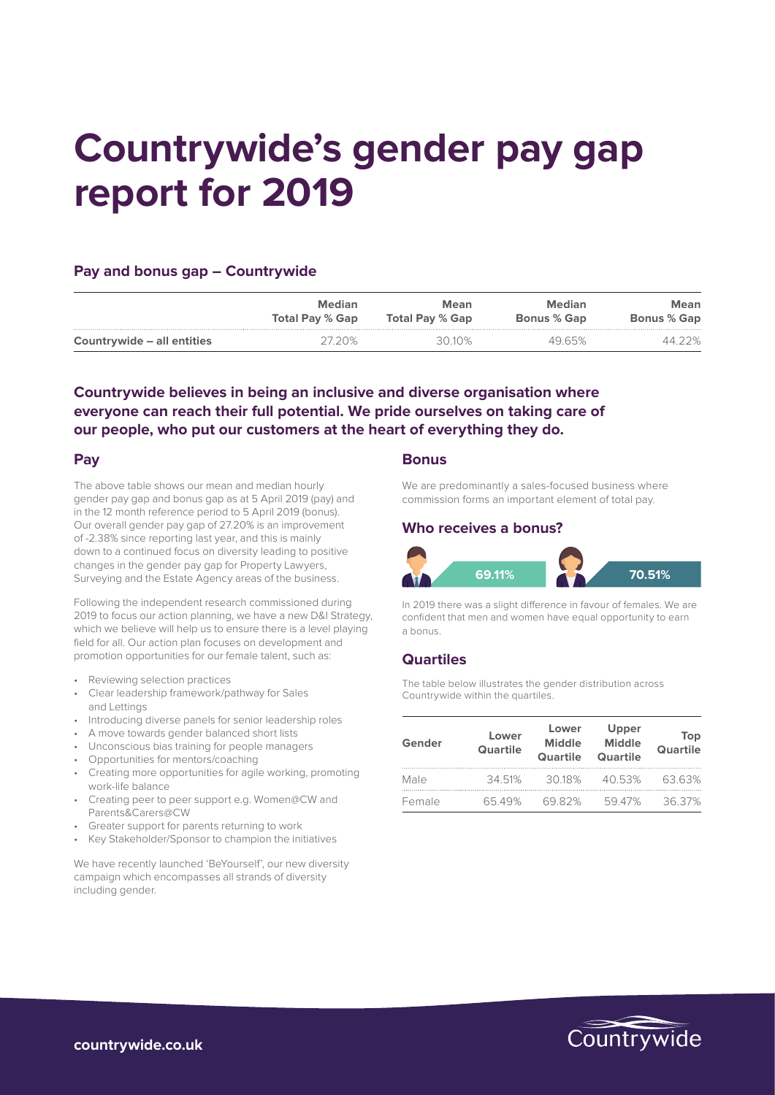# **Countrywide's gender pay gap report for 2019**

### **Pay and bonus gap – Countrywide**

|                            | <b>Median</b>          | Mean                   | Median             | Mean               |
|----------------------------|------------------------|------------------------|--------------------|--------------------|
|                            | <b>Total Pay % Gap</b> | <b>Total Pay % Gap</b> | <b>Bonus % Gap</b> | <b>Bonus % Gap</b> |
| Countrywide – all entities |                        | 30 10%                 | 49.65%             | つ%                 |

## **Countrywide believes in being an inclusive and diverse organisation where everyone can reach their full potential. We pride ourselves on taking care of our people, who put our customers at the heart of everything they do.**

#### **Pay**

The above table shows our mean and median hourly gender pay gap and bonus gap as at 5 April 2019 (pay) and in the 12 month reference period to 5 April 2019 (bonus). Our overall gender pay gap of 27.20% is an improvement of -2.38% since reporting last year, and this is mainly down to a continued focus on diversity leading to positive changes in the gender pay gap for Property Lawyers, Surveying and the Estate Agency areas of the business.

Following the independent research commissioned during 2019 to focus our action planning, we have a new D&I Strategy, which we believe will help us to ensure there is a level playing field for all. Our action plan focuses on development and promotion opportunities for our female talent, such as:

- Reviewing selection practices
- Clear leadership framework/pathway for Sales and Lettings
- Introducing diverse panels for senior leadership roles
- A move towards gender balanced short lists
- Unconscious bias training for people managers
- Opportunities for mentors/coaching
- Creating more opportunities for agile working, promoting work-life balance
- Creating peer to peer support e.g. Women@CW and Parents&Carers@CW
- Greater support for parents returning to work
- Key Stakeholder/Sponsor to champion the initiatives

We have recently launched 'BeYourself', our new diversity campaign which encompasses all strands of diversity including gender.

#### **Bonus**

We are predominantly a sales-focused business where commission forms an important element of total pay.

### **Who receives a bonus?**



In 2019 there was a slight difference in favour of females. We are confident that men and women have equal opportunity to earn a bonus.

## **Quartiles**

The table below illustrates the gender distribution across Countrywide within the quartiles.

| Gender | Lower<br><b>Quartile</b> | Lower<br><b>Middle</b><br>Quartile | Upper<br><b>Middle</b><br><b>Quartile</b> | <b>Top</b><br><b>Quartile</b> |
|--------|--------------------------|------------------------------------|-------------------------------------------|-------------------------------|
| Male   | 34 51%                   | 3018%                              | 40.53%                                    | 63 63%                        |
| Female | 6549%                    | 6982%                              | 5947%                                     | 36.37%                        |